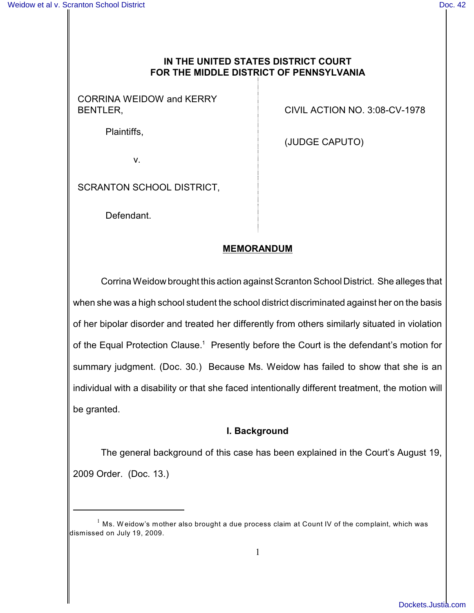## **IN THE UNITED STATES DISTRICT COURT FOR THE MIDDLE DISTRICT OF PENNSYLVANIA**

CORRINA WEIDOW and KERRY

Plaintiffs,

BENTLER, CIVIL ACTION NO. 3:08-CV-1978

(JUDGE CAPUTO)

v.

SCRANTON SCHOOL DISTRICT,

Defendant.

## **MEMORANDUM**

Corrina Weidow brought this action against Scranton School District. She alleges that when she was a high school student the school district discriminated against her on the basis of her bipolar disorder and treated her differently from others similarly situated in violation of the Equal Protection Clause.<sup>1</sup> Presently before the Court is the defendant's motion for summary judgment. (Doc. 30.) Because Ms. Weidow has failed to show that she is an individual with a disability or that she faced intentionally different treatment, the motion will be granted.

## **I. Background**

The general background of this case has been explained in the Court's August 19, 2009 Order. (Doc. 13.)

 $^{\rm 1}$  Ms. Weidow's mother also brought a due process claim at Count IV of the complaint, which was dismissed on July 19, 2009.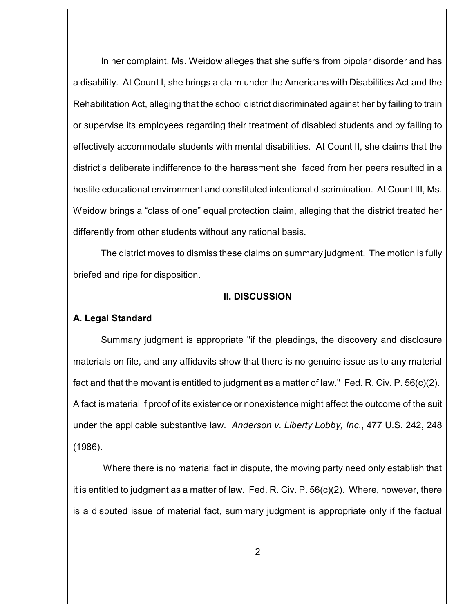In her complaint, Ms. Weidow alleges that she suffers from bipolar disorder and has a disability. At Count I, she brings a claim under the Americans with Disabilities Act and the Rehabilitation Act, alleging that the school district discriminated against her by failing to train or supervise its employees regarding their treatment of disabled students and by failing to effectively accommodate students with mental disabilities. At Count II, she claims that the district's deliberate indifference to the harassment she faced from her peers resulted in a hostile educational environment and constituted intentional discrimination. At Count III, Ms. Weidow brings a "class of one" equal protection claim, alleging that the district treated her differently from other students without any rational basis.

The district moves to dismiss these claims on summary judgment. The motion is fully briefed and ripe for disposition.

#### **II. DISCUSSION**

## **A. Legal Standard**

Summary judgment is appropriate "if the pleadings, the discovery and disclosure materials on file, and any affidavits show that there is no genuine issue as to any material fact and that the movant is entitled to judgment as a matter of law." Fed. R. Civ. P. 56(c)(2). A fact is material if proof of its existence or nonexistence might affect the outcome of the suit under the applicable substantive law. *Anderson v. Liberty Lobby, Inc*., 477 U.S. 242, 248 (1986).

Where there is no material fact in dispute, the moving party need only establish that it is entitled to judgment as a matter of law. Fed. R. Civ. P. 56(c)(2). Where, however, there is a disputed issue of material fact, summary judgment is appropriate only if the factual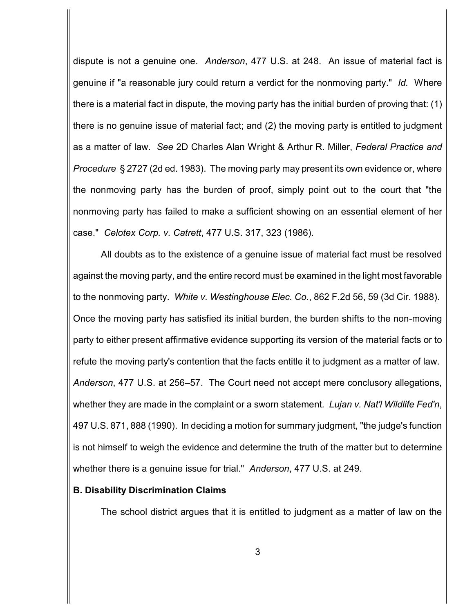dispute is not a genuine one. *Anderson*, 477 U.S. at 248. An issue of material fact is genuine if "a reasonable jury could return a verdict for the nonmoving party." *Id.* Where there is a material fact in dispute, the moving party has the initial burden of proving that: (1) there is no genuine issue of material fact; and (2) the moving party is entitled to judgment as a matter of law. *See* 2D Charles Alan Wright & Arthur R. Miller, *Federal Practice and Procedure* § 2727 (2d ed. 1983). The moving party may present its own evidence or, where the nonmoving party has the burden of proof, simply point out to the court that "the nonmoving party has failed to make a sufficient showing on an essential element of her case." *Celotex Corp. v. Catrett*, 477 U.S. 317, 323 (1986).

All doubts as to the existence of a genuine issue of material fact must be resolved against the moving party, and the entire record must be examined in the light most favorable to the nonmoving party. *White v. Westinghouse Elec. Co.*, 862 F.2d 56, 59 (3d Cir. 1988). Once the moving party has satisfied its initial burden, the burden shifts to the non-moving party to either present affirmative evidence supporting its version of the material facts or to refute the moving party's contention that the facts entitle it to judgment as a matter of law. *Anderson*, 477 U.S. at 256–57. The Court need not accept mere conclusory allegations, whether they are made in the complaint or a sworn statement*. Lujan v. Nat'l Wildlife Fed'n*, 497 U.S. 871, 888 (1990). In deciding a motion for summary judgment, "the judge's function is not himself to weigh the evidence and determine the truth of the matter but to determine whether there is a genuine issue for trial." *Anderson*, 477 U.S. at 249.

#### **B. Disability Discrimination Claims**

The school district argues that it is entitled to judgment as a matter of law on the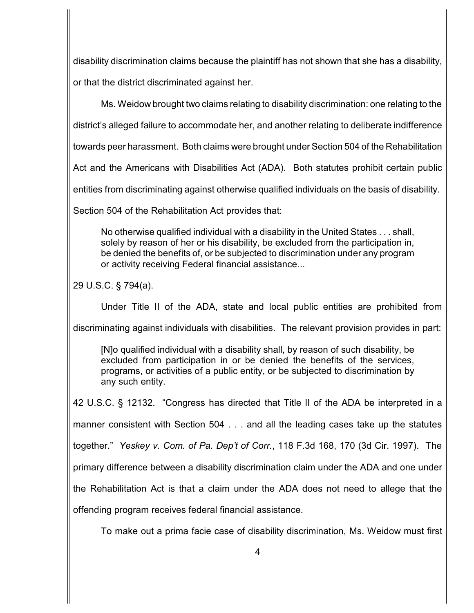disability discrimination claims because the plaintiff has not shown that she has a disability, or that the district discriminated against her.

Ms. Weidow brought two claims relating to disability discrimination: one relating to the

district's alleged failure to accommodate her, and another relating to deliberate indifference

towards peer harassment. Both claims were brought under Section 504 of the Rehabilitation

Act and the Americans with Disabilities Act (ADA). Both statutes prohibit certain public

entities from discriminating against otherwise qualified individuals on the basis of disability.

Section 504 of the Rehabilitation Act provides that:

No otherwise qualified individual with a disability in the United States . . . shall, solely by reason of her or his disability, be excluded from the participation in, be denied the benefits of, or be subjected to discrimination under any program or activity receiving Federal financial assistance...

29 U.S.C. § 794(a).

Under Title II of the ADA, state and local public entities are prohibited from

discriminating against individuals with disabilities. The relevant provision provides in part:

[N]o qualified individual with a disability shall, by reason of such disability, be excluded from participation in or be denied the benefits of the services, programs, or activities of a public entity, or be subjected to discrimination by any such entity.

42 U.S.C. § 12132. "Congress has directed that Title II of the ADA be interpreted in a manner consistent with Section 504 . . . and all the leading cases take up the statutes together." *Yeskey v. Com. of Pa. Dep't of Corr.*, 118 F.3d 168, 170 (3d Cir. 1997). The primary difference between a disability discrimination claim under the ADA and one under the Rehabilitation Act is that a claim under the ADA does not need to allege that the offending program receives federal financial assistance.

To make out a prima facie case of disability discrimination, Ms. Weidow must first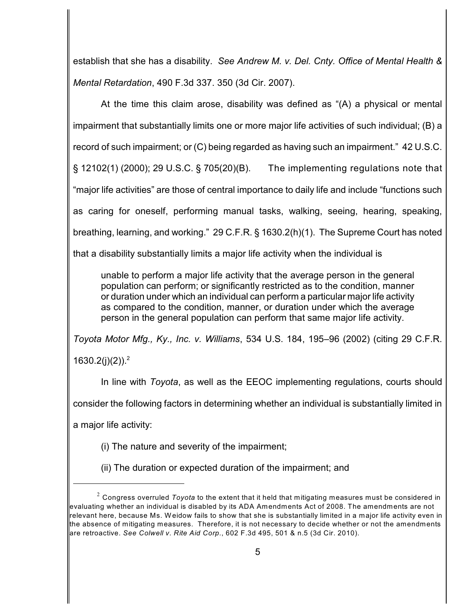establish that she has a disability. *See Andrew M. v. Del. Cnty. Office of Mental Health & Mental Retardation*, 490 F.3d 337. 350 (3d Cir. 2007).

At the time this claim arose, disability was defined as "(A) a physical or mental impairment that substantially limits one or more major life activities of such individual; (B) a record of such impairment; or (C) being regarded as having such an impairment." 42 U.S.C. § 12102(1) (2000); 29 U.S.C. § 705(20)(B). The implementing regulations note that "major life activities" are those of central importance to daily life and include "functions such as caring for oneself, performing manual tasks, walking, seeing, hearing, speaking, breathing, learning, and working." 29 C.F.R. § 1630.2(h)(1). The Supreme Court has noted that a disability substantially limits a major life activity when the individual is

unable to perform a major life activity that the average person in the general population can perform; or significantly restricted as to the condition, manner or duration under which an individual can perform a particular major life activity as compared to the condition, manner, or duration under which the average person in the general population can perform that same major life activity.

*Toyota Motor Mfg., Ky., Inc. v. Williams*, 534 U.S. 184, 195–96 (2002) (citing 29 C.F.R.

1630.2(j)(2)).<sup>2</sup>

In line with *Toyota*, as well as the EEOC implementing regulations, courts should

consider the following factors in determining whether an individual is substantially limited in

a major life activity:

(i) The nature and severity of the impairment;

(ii) The duration or expected duration of the impairment; and

 $^{\rm 2}$  Congress overruled *Toyota* to the extent that it held that mitigating measures must be considered in evaluating whether an individual is disabled by its ADA Amendments Act of 2008. The amendments are not relevant here, because Ms. W eidow fails to show that she is substantially limited in a major life activity even in the absence of mitigating measures. Therefore, it is not necessary to decide whether or not the amendments are retroactive. *See Colwell v. Rite Aid Corp.*, 602 F.3d 495, 501 & n.5 (3d Cir. 2010).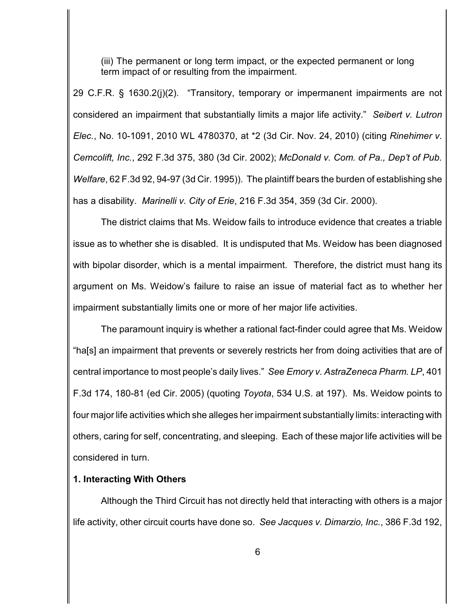(iii) The permanent or long term impact, or the expected permanent or long term impact of or resulting from the impairment.

29 C.F.R. § 1630.2(j)(2). "Transitory, temporary or impermanent impairments are not considered an impairment that substantially limits a major life activity." *Seibert v. Lutron Elec.*, No. 10-1091, 2010 WL 4780370, at \*2 (3d Cir. Nov. 24, 2010) (citing *Rinehimer v. Cemcolift, Inc.*, 292 F.3d 375, 380 (3d Cir. 2002); *McDonald v. Com. of Pa., Dep't of Pub. Welfare*, 62 F.3d 92, 94-97 (3d Cir. 1995)). The plaintiff bears the burden of establishing she has a disability. *Marinelli v. City of Erie*, 216 F.3d 354, 359 (3d Cir. 2000).

The district claims that Ms. Weidow fails to introduce evidence that creates a triable issue as to whether she is disabled. It is undisputed that Ms. Weidow has been diagnosed with bipolar disorder, which is a mental impairment. Therefore, the district must hang its argument on Ms. Weidow's failure to raise an issue of material fact as to whether her impairment substantially limits one or more of her major life activities.

The paramount inquiry is whether a rational fact-finder could agree that Ms. Weidow "ha[s] an impairment that prevents or severely restricts her from doing activities that are of central importance to most people's daily lives." *See Emory v. AstraZeneca Pharm. LP*, 401 F.3d 174, 180-81 (ed Cir. 2005) (quoting *Toyota*, 534 U.S. at 197). Ms. Weidow points to four major life activities which she alleges her impairment substantially limits: interacting with others, caring for self, concentrating, and sleeping. Each of these major life activities will be considered in turn.

### **1. Interacting With Others**

Although the Third Circuit has not directly held that interacting with others is a major life activity, other circuit courts have done so. *See Jacques v. Dimarzio, Inc.*, 386 F.3d 192,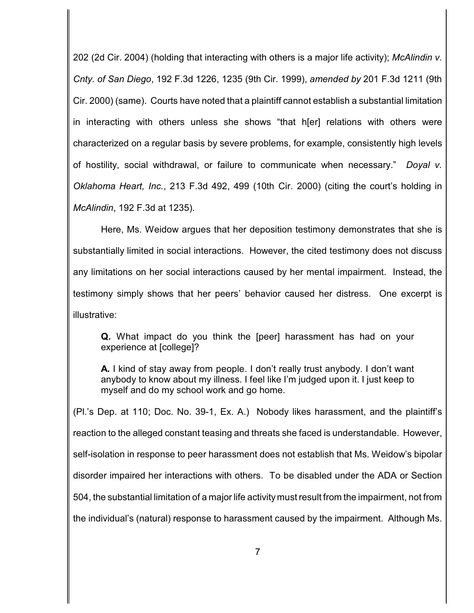202 (2d Cir. 2004) (holding that interacting with others is a major life activity); *McAlindin v. Cnty. of San Diego*, 192 F.3d 1226, 1235 (9th Cir. 1999), *amended by* 201 F.3d 1211 (9th Cir. 2000) (same). Courts have noted that a plaintiff cannot establish a substantial limitation in interacting with others unless she shows "that h[er] relations with others were characterized on a regular basis by severe problems, for example, consistently high levels of hostility, social withdrawal, or failure to communicate when necessary." *Doyal v. Oklahoma Heart, Inc.*, 213 F.3d 492, 499 (10th Cir. 2000) (citing the court's holding in *McAlindin*, 192 F.3d at 1235).

Here, Ms. Weidow argues that her deposition testimony demonstrates that she is substantially limited in social interactions. However, the cited testimony does not discuss any limitations on her social interactions caused by her mental impairment. Instead, the testimony simply shows that her peers' behavior caused her distress. One excerpt is illustrative:

**Q.** What impact do you think the [peer] harassment has had on your experience at [college]?

**A.** I kind of stay away from people. I don't really trust anybody. I don't want anybody to know about my illness. I feel like I'm judged upon it. I just keep to myself and do my school work and go home.

(Pl.'s Dep. at 110; Doc. No. 39-1, Ex. A.) Nobody likes harassment, and the plaintiff's reaction to the alleged constant teasing and threats she faced is understandable. However, self-isolation in response to peer harassment does not establish that Ms. Weidow's bipolar disorder impaired her interactions with others. To be disabled under the ADA or Section 504, the substantial limitation of a major life activity must result from the impairment, not from the individual's (natural) response to harassment caused by the impairment. Although Ms.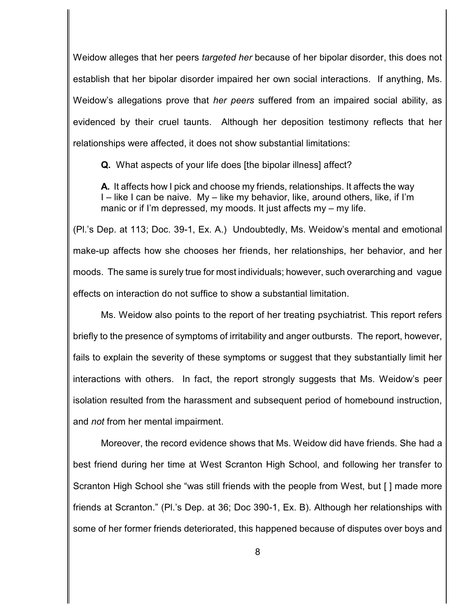Weidow alleges that her peers *targeted her* because of her bipolar disorder, this does not establish that her bipolar disorder impaired her own social interactions. If anything, Ms. Weidow's allegations prove that *her peers* suffered from an impaired social ability, as evidenced by their cruel taunts. Although her deposition testimony reflects that her relationships were affected, it does not show substantial limitations:

**Q.** What aspects of your life does [the bipolar illness] affect?

**A.** It affects how I pick and choose my friends, relationships. It affects the way I – like I can be naive. My – like my behavior, like, around others, like, if I'm manic or if I'm depressed, my moods. It just affects my – my life.

(Pl.'s Dep. at 113; Doc. 39-1, Ex. A.) Undoubtedly, Ms. Weidow's mental and emotional make-up affects how she chooses her friends, her relationships, her behavior, and her moods. The same is surely true for most individuals; however, such overarching and vague effects on interaction do not suffice to show a substantial limitation.

Ms. Weidow also points to the report of her treating psychiatrist. This report refers briefly to the presence of symptoms of irritability and anger outbursts. The report, however, fails to explain the severity of these symptoms or suggest that they substantially limit her interactions with others. In fact, the report strongly suggests that Ms. Weidow's peer isolation resulted from the harassment and subsequent period of homebound instruction, and *not* from her mental impairment.

Moreover, the record evidence shows that Ms. Weidow did have friends. She had a best friend during her time at West Scranton High School, and following her transfer to Scranton High School she "was still friends with the people from West, but [ ] made more friends at Scranton." (Pl.'s Dep. at 36; Doc 390-1, Ex. B). Although her relationships with some of her former friends deteriorated, this happened because of disputes over boys and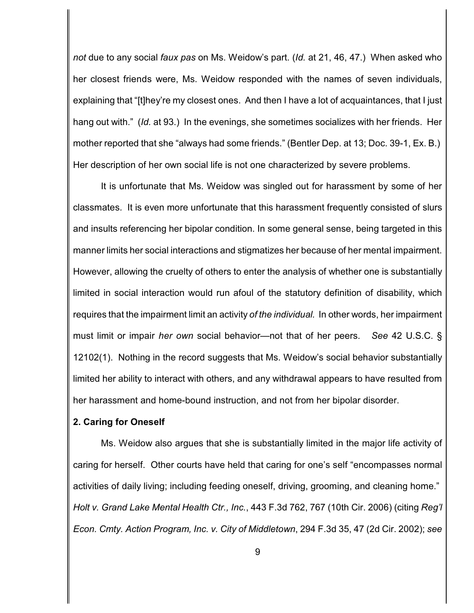*not* due to any social *faux pas* on Ms. Weidow's part. (*Id.* at 21, 46, 47.) When asked who her closest friends were, Ms. Weidow responded with the names of seven individuals, explaining that "[t]hey're my closest ones. And then I have a lot of acquaintances, that I just hang out with." (*Id.* at 93.) In the evenings, she sometimes socializes with her friends. Her mother reported that she "always had some friends." (Bentler Dep. at 13; Doc. 39-1, Ex. B.) Her description of her own social life is not one characterized by severe problems.

It is unfortunate that Ms. Weidow was singled out for harassment by some of her classmates. It is even more unfortunate that this harassment frequently consisted of slurs and insults referencing her bipolar condition. In some general sense, being targeted in this manner limits her social interactions and stigmatizes her because of her mental impairment. However, allowing the cruelty of others to enter the analysis of whether one is substantially limited in social interaction would run afoul of the statutory definition of disability, which requires that the impairment limit an activity *of the individual.* In other words, her impairment must limit or impair *her own* social behavior—not that of her peers. *See* 42 U.S.C. § 12102(1). Nothing in the record suggests that Ms. Weidow's social behavior substantially limited her ability to interact with others, and any withdrawal appears to have resulted from her harassment and home-bound instruction, and not from her bipolar disorder.

#### **2. Caring for Oneself**

Ms. Weidow also argues that she is substantially limited in the major life activity of caring for herself. Other courts have held that caring for one's self "encompasses normal activities of daily living; including feeding oneself, driving, grooming, and cleaning home." *Holt v. Grand Lake Mental Health Ctr., Inc.*, 443 F.3d 762, 767 (10th Cir. 2006) (citing *Reg'l Econ. Cmty. Action Program, Inc. v. City of Middletown*, 294 F.3d 35, 47 (2d Cir. 2002); *see*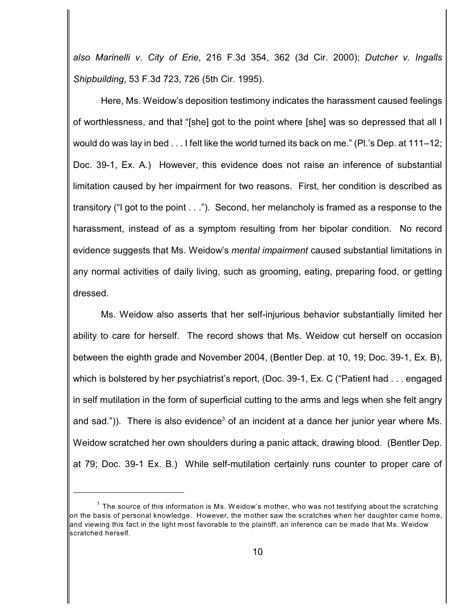*also Marinelli v. City of Erie*, 216 F.3d 354, 362 (3d Cir. 2000); *Dutcher v. Ingalls Shipbuilding*, 53 F.3d 723, 726 (5th Cir. 1995).

Here, Ms. Weidow's deposition testimony indicates the harassment caused feelings of worthlessness, and that "[she] got to the point where [she] was so depressed that all I would do was lay in bed . . . I felt like the world turned its back on me." (Pl.'s Dep. at 111–12; Doc. 39-1, Ex. A.) However, this evidence does not raise an inference of substantial limitation caused by her impairment for two reasons. First, her condition is described as transitory ("I got to the point . . ."). Second, her melancholy is framed as a response to the harassment, instead of as a symptom resulting from her bipolar condition. No record evidence suggests that Ms. Weidow's *mental impairment* caused substantial limitations in any normal activities of daily living, such as grooming, eating, preparing food, or getting dressed.

Ms. Weidow also asserts that her self-injurious behavior substantially limited her ability to care for herself. The record shows that Ms. Weidow cut herself on occasion between the eighth grade and November 2004, (Bentler Dep. at 10, 19; Doc. 39-1, Ex. B), which is bolstered by her psychiatrist's report, (Doc. 39-1, Ex. C ("Patient had . . . engaged in self mutilation in the form of superficial cutting to the arms and legs when she felt angry and sad.")). There is also evidence<sup>3</sup> of an incident at a dance her junior year where Ms. Weidow scratched her own shoulders during a panic attack, drawing blood. (Bentler Dep. at 79; Doc. 39-1 Ex. B.) While self-mutilation certainly runs counter to proper care of

 $^3$  The source of this information is Ms. Weidow's mother, who was not testifying about the scratching on the basis of personal knowledge. However, the mother saw the scratches when her daughter came home, and viewing this fact in the light most favorable to the plaintiff, an inference can be made that Ms. W eidow scratched herself.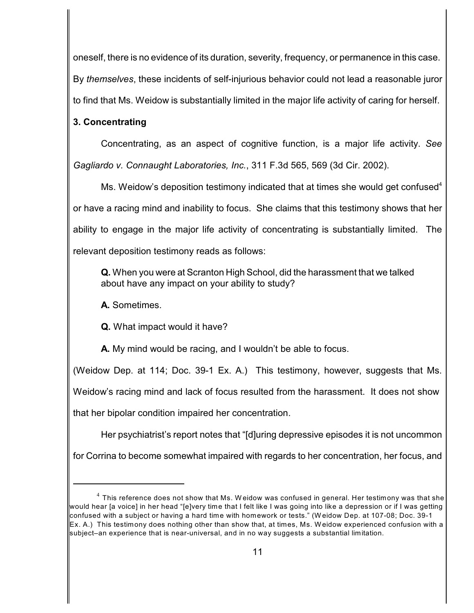oneself, there is no evidence of its duration, severity, frequency, or permanence in this case. By *themselves*, these incidents of self-injurious behavior could not lead a reasonable juror to find that Ms. Weidow is substantially limited in the major life activity of caring for herself.

## **3. Concentrating**

Concentrating, as an aspect of cognitive function, is a major life activity. *See Gagliardo v. Connaught Laboratories, Inc.*, 311 F.3d 565, 569 (3d Cir. 2002).

Ms. Weidow's deposition testimony indicated that at times she would get confused $4$ or have a racing mind and inability to focus. She claims that this testimony shows that her ability to engage in the major life activity of concentrating is substantially limited. The relevant deposition testimony reads as follows:

**Q.** When you were at Scranton High School, did the harassment that we talked about have any impact on your ability to study?

**A.** Sometimes.

**Q.** What impact would it have?

**A.** My mind would be racing, and I wouldn't be able to focus.

(Weidow Dep. at 114; Doc. 39-1 Ex. A.) This testimony, however, suggests that Ms. Weidow's racing mind and lack of focus resulted from the harassment. It does not show that her bipolar condition impaired her concentration.

Her psychiatrist's report notes that "[d]uring depressive episodes it is not uncommon for Corrina to become somewhat impaired with regards to her concentration, her focus, and

 $^4$  This reference does not show that Ms. Weidow was confused in general. Her testimony was that she would hear [a voice] in her head "[e]very time that I felt like I was going into like a depression or if I was getting confused with a subject or having a hard time with homework or tests." (W eidow Dep. at 107-08; Doc. 39-1 Ex. A.) This testimony does nothing other than show that, at times, Ms. Weidow experienced confusion with a subject–an experience that is near-universal, and in no way suggests a substantial limitation.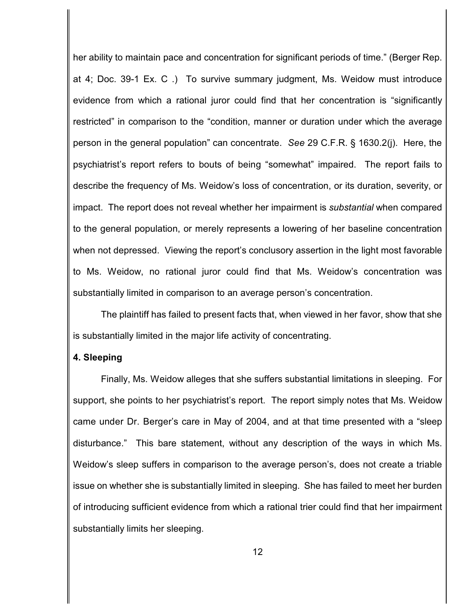her ability to maintain pace and concentration for significant periods of time." (Berger Rep. at 4; Doc. 39-1 Ex. C .) To survive summary judgment, Ms. Weidow must introduce evidence from which a rational juror could find that her concentration is "significantly restricted" in comparison to the "condition, manner or duration under which the average person in the general population" can concentrate. *See* 29 C.F.R. § 1630.2(j). Here, the psychiatrist's report refers to bouts of being "somewhat" impaired. The report fails to describe the frequency of Ms. Weidow's loss of concentration, or its duration, severity, or impact. The report does not reveal whether her impairment is *substantial* when compared to the general population, or merely represents a lowering of her baseline concentration when not depressed. Viewing the report's conclusory assertion in the light most favorable to Ms. Weidow, no rational juror could find that Ms. Weidow's concentration was substantially limited in comparison to an average person's concentration.

The plaintiff has failed to present facts that, when viewed in her favor, show that she is substantially limited in the major life activity of concentrating.

#### **4. Sleeping**

Finally, Ms. Weidow alleges that she suffers substantial limitations in sleeping. For support, she points to her psychiatrist's report. The report simply notes that Ms. Weidow came under Dr. Berger's care in May of 2004, and at that time presented with a "sleep disturbance." This bare statement, without any description of the ways in which Ms. Weidow's sleep suffers in comparison to the average person's, does not create a triable issue on whether she is substantially limited in sleeping. She has failed to meet her burden of introducing sufficient evidence from which a rational trier could find that her impairment substantially limits her sleeping.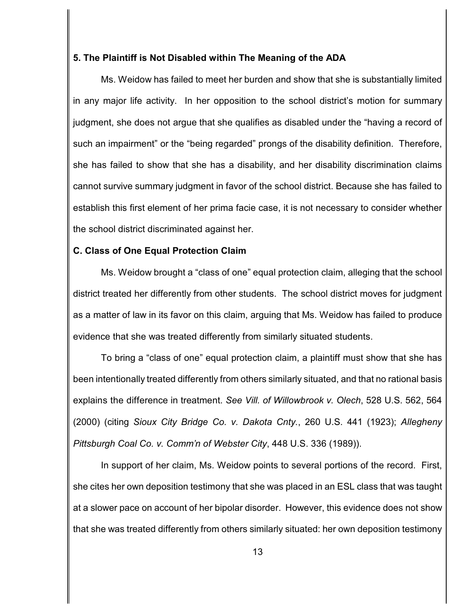### **5. The Plaintiff is Not Disabled within The Meaning of the ADA**

Ms. Weidow has failed to meet her burden and show that she is substantially limited in any major life activity. In her opposition to the school district's motion for summary judgment, she does not argue that she qualifies as disabled under the "having a record of such an impairment" or the "being regarded" prongs of the disability definition. Therefore, she has failed to show that she has a disability, and her disability discrimination claims cannot survive summary judgment in favor of the school district. Because she has failed to establish this first element of her prima facie case, it is not necessary to consider whether the school district discriminated against her.

## **C. Class of One Equal Protection Claim**

Ms. Weidow brought a "class of one" equal protection claim, alleging that the school district treated her differently from other students. The school district moves for judgment as a matter of law in its favor on this claim, arguing that Ms. Weidow has failed to produce evidence that she was treated differently from similarly situated students.

To bring a "class of one" equal protection claim, a plaintiff must show that she has been intentionally treated differently from others similarly situated, and that no rational basis explains the difference in treatment. *See Vill. of Willowbrook v. Olech*, 528 U.S. 562, 564 (2000) (citing *Sioux City Bridge Co. v. Dakota Cnty.*, 260 U.S. 441 (1923); *Allegheny Pittsburgh Coal Co. v. Comm'n of Webster City*, 448 U.S. 336 (1989)).

In support of her claim, Ms. Weidow points to several portions of the record. First, she cites her own deposition testimony that she was placed in an ESL class that was taught at a slower pace on account of her bipolar disorder. However, this evidence does not show that she was treated differently from others similarly situated: her own deposition testimony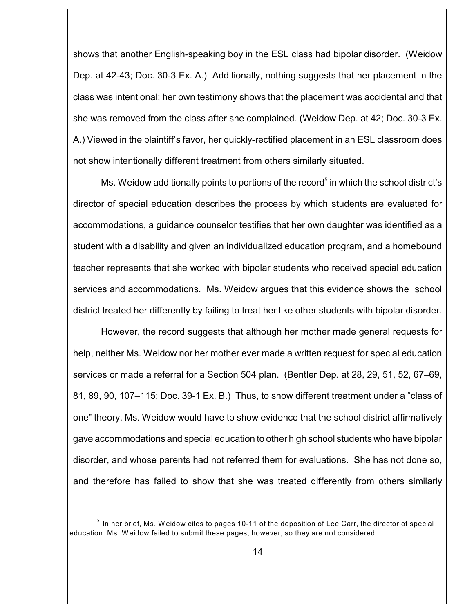shows that another English-speaking boy in the ESL class had bipolar disorder. (Weidow Dep. at 42-43; Doc. 30-3 Ex. A.) Additionally, nothing suggests that her placement in the class was intentional; her own testimony shows that the placement was accidental and that she was removed from the class after she complained. (Weidow Dep. at 42; Doc. 30-3 Ex. A.) Viewed in the plaintiff's favor, her quickly-rectified placement in an ESL classroom does not show intentionally different treatment from others similarly situated.

Ms. Weidow additionally points to portions of the record<sup>5</sup> in which the school district's director of special education describes the process by which students are evaluated for accommodations, a guidance counselor testifies that her own daughter was identified as a student with a disability and given an individualized education program, and a homebound teacher represents that she worked with bipolar students who received special education services and accommodations. Ms. Weidow argues that this evidence shows the school district treated her differently by failing to treat her like other students with bipolar disorder.

However, the record suggests that although her mother made general requests for help, neither Ms. Weidow nor her mother ever made a written request for special education services or made a referral for a Section 504 plan. (Bentler Dep. at 28, 29, 51, 52, 67–69, 81, 89, 90, 107–115; Doc. 39-1 Ex. B.) Thus, to show different treatment under a "class of one" theory, Ms. Weidow would have to show evidence that the school district affirmatively gave accommodations and special education to other high school students who have bipolar disorder, and whose parents had not referred them for evaluations. She has not done so, and therefore has failed to show that she was treated differently from others similarly

 $^{\rm 5}$  In her brief, Ms. Weidow cites to pages 10-11 of the deposition of Lee Carr, the director of special education. Ms. W eidow failed to submit these pages, however, so they are not considered.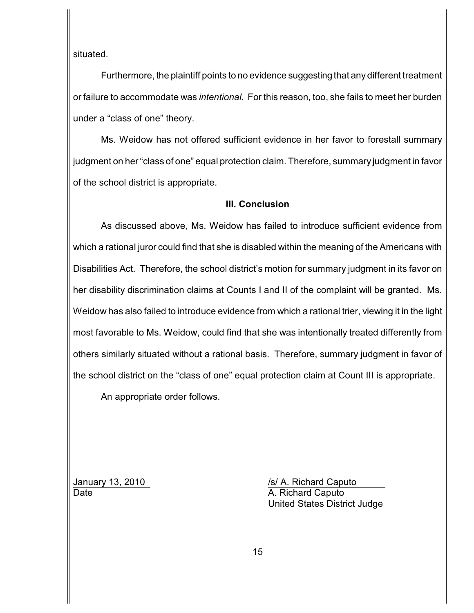situated.

Furthermore, the plaintiff points to no evidence suggesting that any different treatment or failure to accommodate was *intentional*. For this reason, too, she fails to meet her burden under a "class of one" theory.

Ms. Weidow has not offered sufficient evidence in her favor to forestall summary judgment on her "class of one" equal protection claim. Therefore, summary judgment in favor of the school district is appropriate.

### **III. Conclusion**

As discussed above, Ms. Weidow has failed to introduce sufficient evidence from which a rational juror could find that she is disabled within the meaning of the Americans with Disabilities Act. Therefore, the school district's motion for summary judgment in its favor on her disability discrimination claims at Counts I and II of the complaint will be granted. Ms. Weidow has also failed to introduce evidence from which a rational trier, viewing it in the light most favorable to Ms. Weidow, could find that she was intentionally treated differently from others similarly situated without a rational basis. Therefore, summary judgment in favor of the school district on the "class of one" equal protection claim at Count III is appropriate.

An appropriate order follows.

January 13, 2010 */s/ A. Richard Caputo* Date **Date** A. Richard Caputo United States District Judge